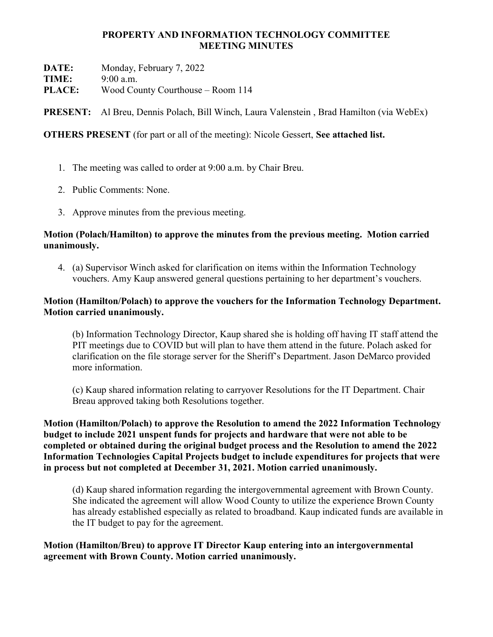## PROPERTY AND INFORMATION TECHNOLOGY COMMITTEE MEETING MINUTES

DATE: Monday, February 7, 2022

TIME: 9:00 a.m.

PLACE: Wood County Courthouse – Room 114

PRESENT: Al Breu, Dennis Polach, Bill Winch, Laura Valenstein , Brad Hamilton (via WebEx)

OTHERS PRESENT (for part or all of the meeting): Nicole Gessert, See attached list.

- 1. The meeting was called to order at 9:00 a.m. by Chair Breu.
- 2. Public Comments: None.
- 3. Approve minutes from the previous meeting.

## Motion (Polach/Hamilton) to approve the minutes from the previous meeting. Motion carried unanimously.

4. (a) Supervisor Winch asked for clarification on items within the Information Technology vouchers. Amy Kaup answered general questions pertaining to her department's vouchers.

# Motion (Hamilton/Polach) to approve the vouchers for the Information Technology Department. Motion carried unanimously.

(b) Information Technology Director, Kaup shared she is holding off having IT staff attend the PIT meetings due to COVID but will plan to have them attend in the future. Polach asked for clarification on the file storage server for the Sheriff's Department. Jason DeMarco provided more information.

(c) Kaup shared information relating to carryover Resolutions for the IT Department. Chair Breau approved taking both Resolutions together.

Motion (Hamilton/Polach) to approve the Resolution to amend the 2022 Information Technology budget to include 2021 unspent funds for projects and hardware that were not able to be completed or obtained during the original budget process and the Resolution to amend the 2022 Information Technologies Capital Projects budget to include expenditures for projects that were in process but not completed at December 31, 2021. Motion carried unanimously.

(d) Kaup shared information regarding the intergovernmental agreement with Brown County. She indicated the agreement will allow Wood County to utilize the experience Brown County has already established especially as related to broadband. Kaup indicated funds are available in the IT budget to pay for the agreement.

Motion (Hamilton/Breu) to approve IT Director Kaup entering into an intergovernmental agreement with Brown County. Motion carried unanimously.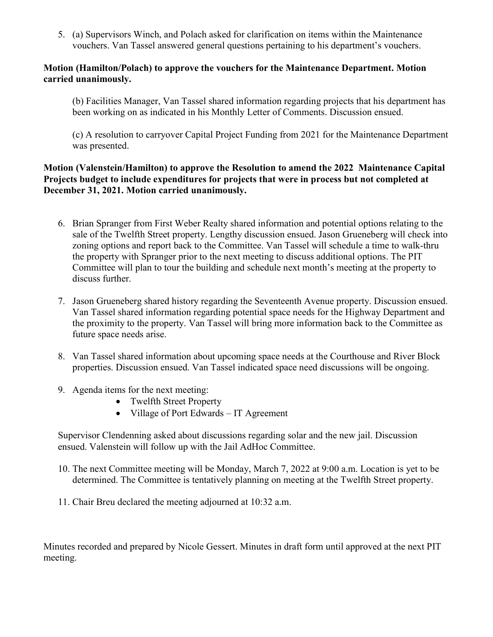5. (a) Supervisors Winch, and Polach asked for clarification on items within the Maintenance vouchers. Van Tassel answered general questions pertaining to his department's vouchers.

### Motion (Hamilton/Polach) to approve the vouchers for the Maintenance Department. Motion carried unanimously.

(b) Facilities Manager, Van Tassel shared information regarding projects that his department has been working on as indicated in his Monthly Letter of Comments. Discussion ensued.

(c) A resolution to carryover Capital Project Funding from 2021 for the Maintenance Department was presented.

## Motion (Valenstein/Hamilton) to approve the Resolution to amend the 2022 Maintenance Capital Projects budget to include expenditures for projects that were in process but not completed at December 31, 2021. Motion carried unanimously.

- 6. Brian Spranger from First Weber Realty shared information and potential options relating to the sale of the Twelfth Street property. Lengthy discussion ensued. Jason Grueneberg will check into zoning options and report back to the Committee. Van Tassel will schedule a time to walk-thru the property with Spranger prior to the next meeting to discuss additional options. The PIT Committee will plan to tour the building and schedule next month's meeting at the property to discuss further.
- 7. Jason Grueneberg shared history regarding the Seventeenth Avenue property. Discussion ensued. Van Tassel shared information regarding potential space needs for the Highway Department and the proximity to the property. Van Tassel will bring more information back to the Committee as future space needs arise.
- 8. Van Tassel shared information about upcoming space needs at the Courthouse and River Block properties. Discussion ensued. Van Tassel indicated space need discussions will be ongoing.
- 9. Agenda items for the next meeting:
	- Twelfth Street Property
	- Village of Port Edwards IT Agreement

Supervisor Clendenning asked about discussions regarding solar and the new jail. Discussion ensued. Valenstein will follow up with the Jail AdHoc Committee.

- 10. The next Committee meeting will be Monday, March 7, 2022 at 9:00 a.m. Location is yet to be determined. The Committee is tentatively planning on meeting at the Twelfth Street property.
- 11. Chair Breu declared the meeting adjourned at 10:32 a.m.

Minutes recorded and prepared by Nicole Gessert. Minutes in draft form until approved at the next PIT meeting.